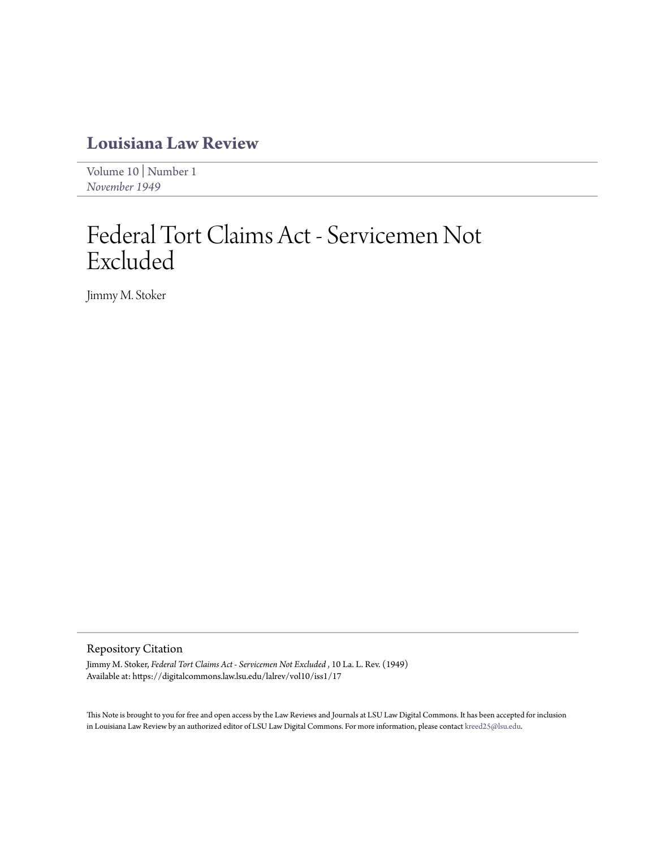## **[Louisiana Law Review](https://digitalcommons.law.lsu.edu/lalrev)**

[Volume 10](https://digitalcommons.law.lsu.edu/lalrev/vol10) | [Number 1](https://digitalcommons.law.lsu.edu/lalrev/vol10/iss1) *[November 1949](https://digitalcommons.law.lsu.edu/lalrev/vol10/iss1)*

## Federal Tort Claims Act - Servicemen Not Excluded

Jimmy M. Stoker

## Repository Citation

Jimmy M. Stoker, *Federal Tort Claims Act - Servicemen Not Excluded* , 10 La. L. Rev. (1949) Available at: https://digitalcommons.law.lsu.edu/lalrev/vol10/iss1/17

This Note is brought to you for free and open access by the Law Reviews and Journals at LSU Law Digital Commons. It has been accepted for inclusion in Louisiana Law Review by an authorized editor of LSU Law Digital Commons. For more information, please contact [kreed25@lsu.edu](mailto:kreed25@lsu.edu).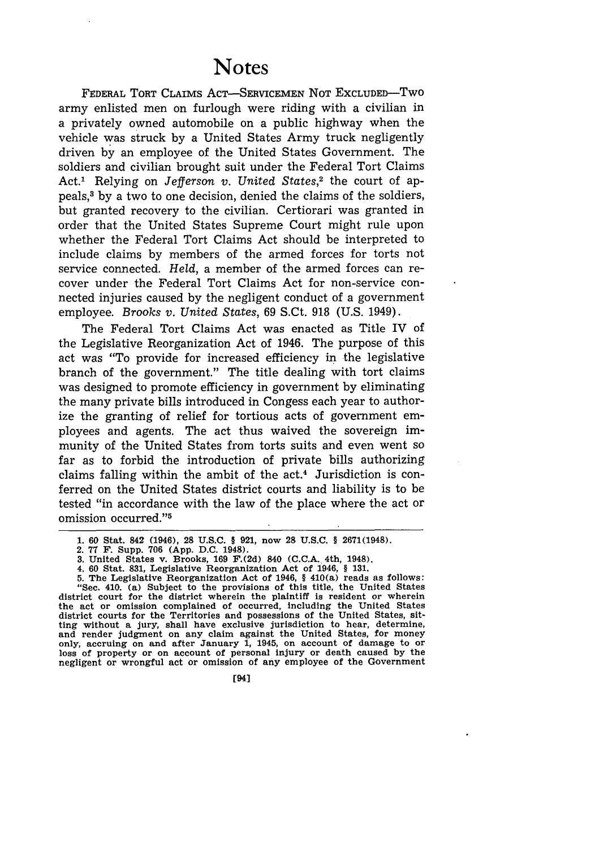FEDERAL TORT CLAIMS ACT-SERVICEMEN NOT EXCLUDED-Two army enlisted men on furlough were riding with a civilian in a privately owned automobile on a public highway when the vehicle was struck by a United States Army truck negligently driven by an employee of the United States Government. The soldiers and civilian brought suit under the Federal Tort Claims Act." Relying on *Jefferson v. United States,2* the court of appeals,3 by a two to one decision, denied the claims of the soldiers, but granted recovery to the civilian. Certiorari was granted in order that the United States Supreme Court might rule upon whether the Federal Tort Claims Act should be interpreted to include claims by members of the armed forces for torts not service connected. *Held,* a member of the armed forces can recover under the Federal Tort Claims Act for non-service connected injuries caused by the negligent conduct of a government employee. *Brooks v. United States,* 69 S.Ct. 918 (U.S. 1949).

The Federal Tort Claims Act was enacted as Title IV of the Legislative Reorganization Act of 1946. The purpose of this act was "To provide for increased efficiency in the legislative branch of the government." The title dealing with tort claims was designed to promote efficiency in government by eliminating the many private bills introduced in Congess each year to authorize the granting of relief for tortious acts of government employees and agents. The act thus waived the sovereign immunity of the United States from torts suits and even went so far as to forbid the introduction of private bills authorizing claims falling within the ambit of the  $act<sup>4</sup>$  Jurisdiction is conferred on the United States district courts and liability is to be tested "in accordance with the law of the place where the act or omission occurred."5

**4. 60 Stat. 831, Legislative Reorganization Act of 1946, § 131.**

**5. The Legislative Reorganization Act of 1946, § 410(a) reads as follows: "Sec. 410. (a) Subject to the provisions of this title, the United States district court for the district wherein the plaintiff is resident or wherein the act or omission complained of occurred, Including the United States district courts for the Territories and possessions of the United States, sitting without a jury, shall have exclusive jurisdiction to hear, determine, and render judgment on any claim against the United States, for money only, accruing on and after January 1, 1945, on account of damage to or loss of property or on account of personal injury or death caused by the negligent or wrongful act or omission of any employee of the Government**

**[941**

**<sup>1. 60</sup>** Stat. **842 (1946), 28 U.S.C.** § **921, now** 28 **U.S.C. § 2671(1948).**

**<sup>2. 77</sup> F. Supp. 706 (App. D.C. 1948). 3. United States v. Brooks, 169 F.(2d) 840 (C.C.A. 4th, 1948).**